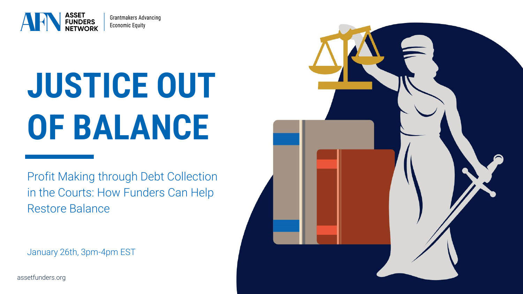

Grantmakers Advancing **Economic Equity** 

# **JUSTICE OUT OF BALANCE**

Profit Making through Debt Collection in the Courts: How Funders Can Help Restore Balance

January 26th, 3pm-4pm EST



assetfunders.org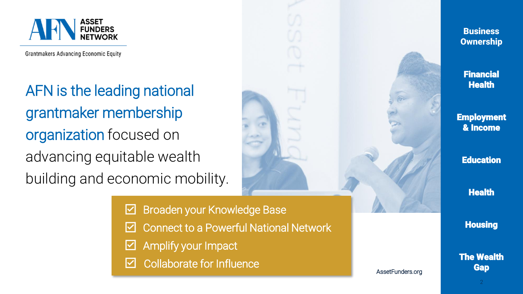

**Grantmakers Advancing Economic Equity** 

AFN is the leading national grantmaker membership organization focused on advancing equitable wealth building and economic mobility.

> Broaden your Knowledge Base  $\vert \checkmark \vert$

- Connect to a Powerful National Network
- Amplify your Impact  $|\mathcal{V}|$
- Collaborate for Influence



AssetFunders.org

**Housing** 

The Wealth **Gap**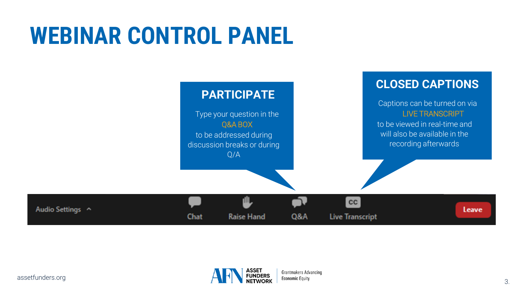## **WEBINAR CONTROL PANEL**



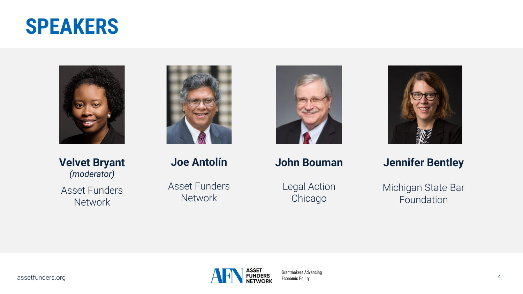### **SPEAKERS**



**Velvet Bryant** *(moderator)* Asset Funders **Network** 



**Joe Antolín**

Asset Funders Network



**John Bouman**

Legal Action Chicago



**Jennifer Bentley**

Michigan State Bar Foundation

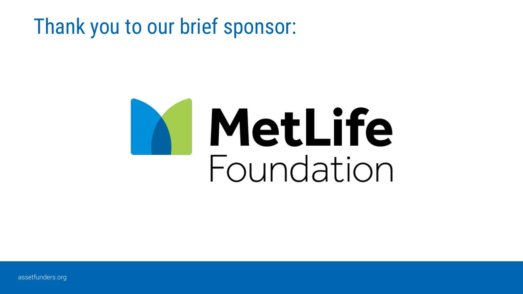### Thank you to our brief sponsor:

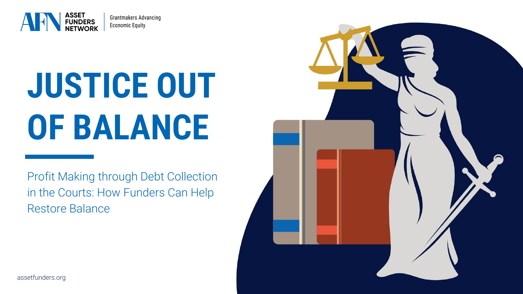

Grantmakers Advancing **Economic Equity** 

# **JUSTICE OUT OF BALANCE**

Profit Making through Debt Collection in the Courts: How Funders Can Help Restore Balance

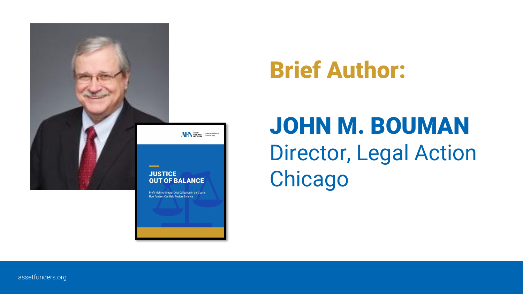

## Brief Author:

## JOHN M. BOUMAN Director, Legal Action **Chicago**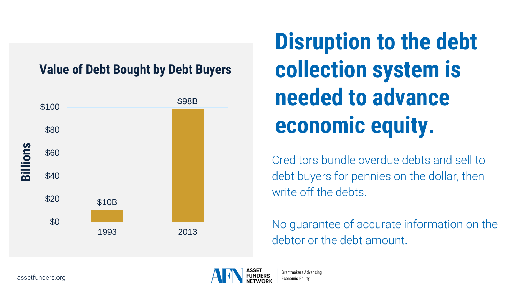#### **Value of Debt Bought by Debt Buyers**



**Disruption to the debt collection system is needed to advance economic equity.** 

Creditors bundle overdue debts and sell to debt buyers for pennies on the dollar, then write off the debts.

No guarantee of accurate information on the debtor or the debt amount.



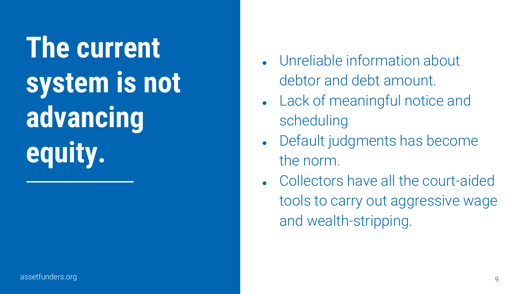**Width Contracts STYLE 2 advancing The current system is not equity.**

- Unreliable information about debtor and debt amount.
- Lack of meaningful notice and scheduling
- Default judgments has become the norm.
- Collectors have all the court-aided tools to carry out aggressive wage and wealth-stripping.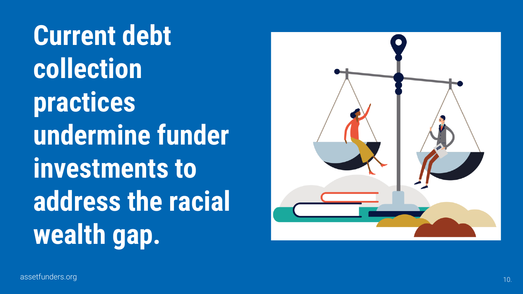**Current debt collection practices undermine funder investments to address the racial wealth gap.**

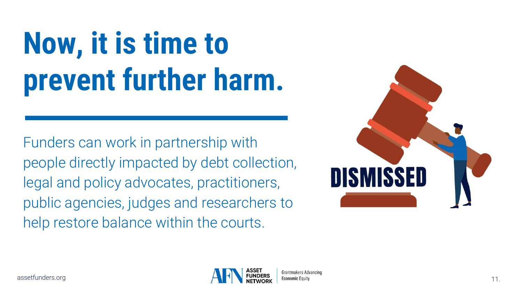# **Now, it is time to prevent further harm.**

Funders can work in partnership with people directly impacted by debt collection, legal and policy advocates, practitioners, public agencies, judges and researchers to help restore balance within the courts.



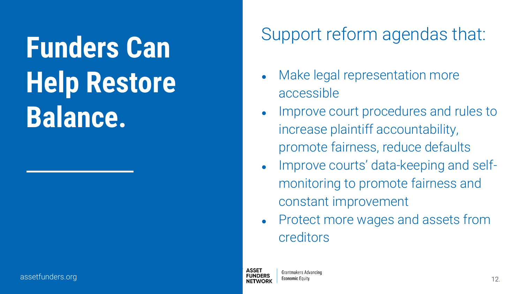### **HEADING HEADING Balance. Funders Can Help Restore**

### Support reform agendas that:

- Make legal representation more accessible
- Improve court procedures and rules to increase plaintiff accountability, promote fairness, reduce defaults
- Improve courts' data-keeping and selfmonitoring to promote fairness and constant improvement
- Protect more wages and assets from creditors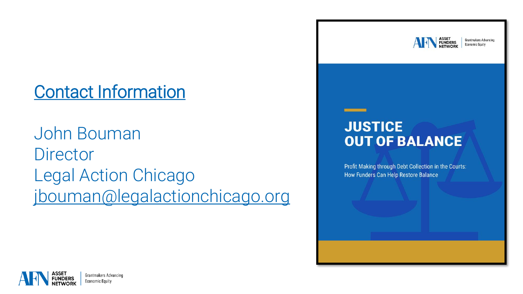### Contact Information

John Bouman **Director** Legal Action Chicago [jbouman@legalactionchicago.org](mailto:jbouman@legalactionchicago.org)



Grantmakers Advancing **Economic Equity** 

#### **JUSTICE OUT OF BALANCE**

**BETH TO INSERT** 

Profit Making through Debt Collection in the Courts: How Funders Can Help Restore Balance